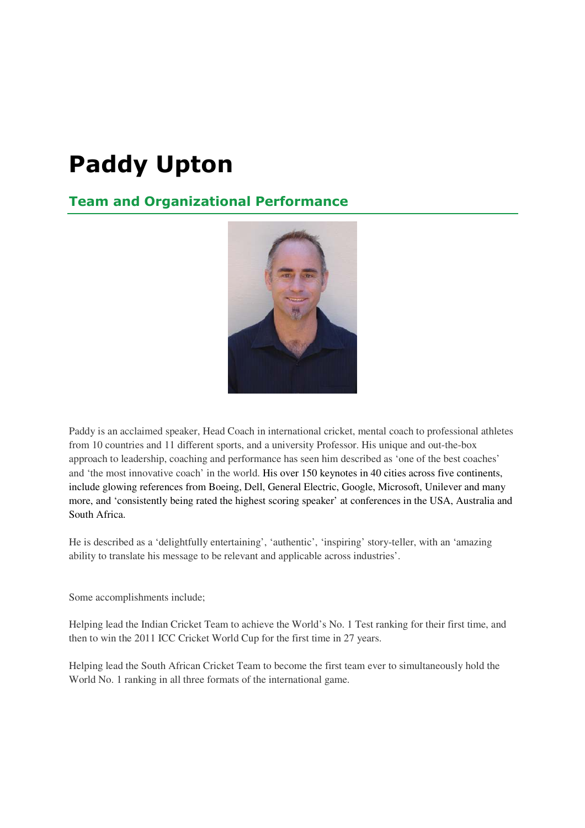# **Paddy Upton**

## **Team and Organizational Performance**



Paddy is an acclaimed speaker, Head Coach in international cricket, mental coach to professional athletes from 10 countries and 11 different sports, and a university Professor. His unique and out-the-box approach to leadership, coaching and performance has seen him described as 'one of the best coaches' and 'the most innovative coach' in the world. His over 150 keynotes in 40 cities across five continents, include glowing references from Boeing, Dell, General Electric, Google, Microsoft, Unilever and many more, and 'consistently being rated the highest scoring speaker' at conferences in the USA, Australia and South Africa.

He is described as a 'delightfully entertaining', 'authentic', 'inspiring' story-teller, with an 'amazing ability to translate his message to be relevant and applicable across industries'.

Some accomplishments include;

Helping lead the Indian Cricket Team to achieve the World's No. 1 Test ranking for their first time, and then to win the 2011 ICC Cricket World Cup for the first time in 27 years.

Helping lead the South African Cricket Team to become the first team ever to simultaneously hold the World No. 1 ranking in all three formats of the international game.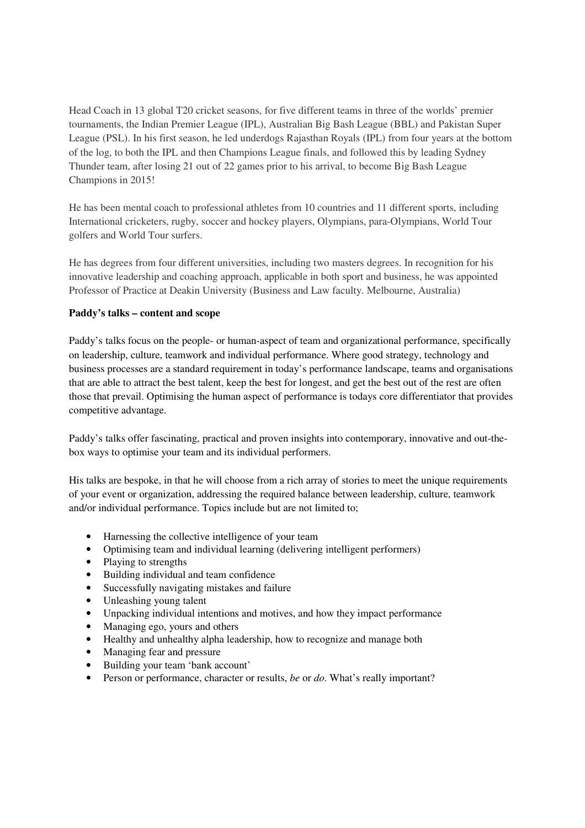Head Coach in 13 global T20 cricket seasons, for five different teams in three of the worlds' premier tournaments, the Indian Premier League (IPL), Australian Big Bash League (BBL) and Pakistan Super League (PSL). In his first season, he led underdogs Rajasthan Royals (IPL) from four years at the bottom of the log, to both the IPL and then Champions League finals, and followed this by leading Sydney Thunder team, after losing 21 out of 22 games prior to his arrival, to become Big Bash League Champions in 2015!

He has been mental coach to professional athletes from 10 countries and 11 different sports, including International cricketers, rugby, soccer and hockey players, Olympians, para-Olympians, World Tour golfers and World Tour surfers.

He has degrees from four different universities, including two masters degrees. In recognition for his innovative leadership and coaching approach, applicable in both sport and business, he was appointed Professor of Practice at Deakin University (Business and Law faculty. Melbourne, Australia)

#### **Paddy's talks – content and scope**

Paddy's talks focus on the people- or human-aspect of team and organizational performance, specifically on leadership, culture, teamwork and individual performance. Where good strategy, technology and business processes are a standard requirement in today's performance landscape, teams and organisations that are able to attract the best talent, keep the best for longest, and get the best out of the rest are often those that prevail. Optimising the human aspect of performance is todays core differentiator that provides competitive advantage.

Paddy's talks offer fascinating, practical and proven insights into contemporary, innovative and out-thebox ways to optimise your team and its individual performers.

His talks are bespoke, in that he will choose from a rich array of stories to meet the unique requirements of your event or organization, addressing the required balance between leadership, culture, teamwork and/or individual performance. Topics include but are not limited to;

- Harnessing the collective intelligence of your team
- Optimising team and individual learning (delivering intelligent performers)
- Playing to strengths
- Building individual and team confidence
- Successfully navigating mistakes and failure
- Unleashing young talent
- Unpacking individual intentions and motives, and how they impact performance
- Managing ego, yours and others
- Healthy and unhealthy alpha leadership, how to recognize and manage both
- Managing fear and pressure
- Building your team 'bank account'
- Person or performance, character or results, *be* or *do*. What's really important?